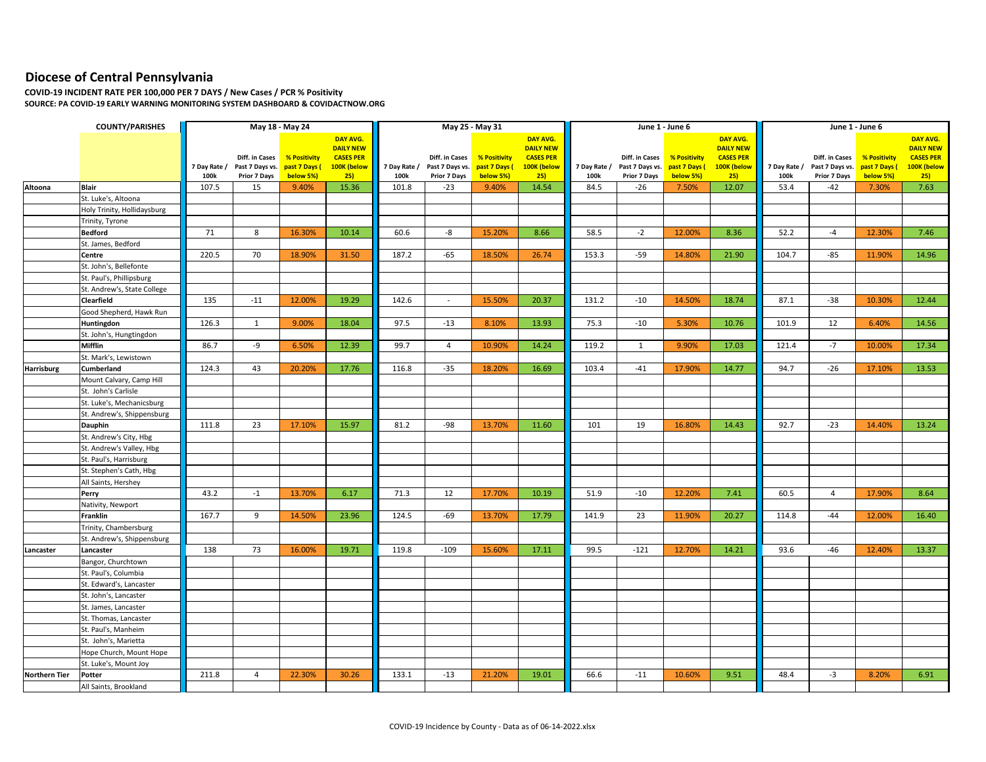## **Diocese of Central Pennsylvania**

**COVID-19 INCIDENT RATE PER 100,000 PER 7 DAYS / New Cases / PCR % Positivity SOURCE: PA COVID-19 EARLY WARNING MONITORING SYSTEM DASHBOARD & COVIDACTNOW.ORG**

|                      | <b>COUNTY/PARISHES</b>      | May 18 - May 24 |                                   |                               |                                 | May 25 - May 31 |                                   |                               |                                 |              |                                   | June 1 - June 6             |                                 | June 1 - June 6 |                                   |                               |                                 |
|----------------------|-----------------------------|-----------------|-----------------------------------|-------------------------------|---------------------------------|-----------------|-----------------------------------|-------------------------------|---------------------------------|--------------|-----------------------------------|-----------------------------|---------------------------------|-----------------|-----------------------------------|-------------------------------|---------------------------------|
|                      |                             |                 |                                   |                               | DAY AVG.                        |                 |                                   |                               | DAY AVG.                        |              |                                   |                             | DAY AVG.                        |                 |                                   |                               | DAY AVG.                        |
|                      |                             |                 |                                   |                               | <b>DAILY NEW</b>                |                 |                                   |                               | <b>DAILY NEW</b>                |              |                                   |                             | <b>DAILY NEW</b>                |                 |                                   |                               | <b>DAILY NEW</b>                |
|                      |                             | 7 Day Rate /    | Diff. in Cases<br>Past 7 Days vs. | % Positivity<br>past 7 Days ( | <b>CASES PER</b><br>100K (below | 7 Day Rate /    | Diff. in Cases<br>Past 7 Days vs. | % Positivity<br>past 7 Days ( | <b>CASES PER</b><br>100K (below | 7 Day Rate / | Diff. in Cases<br>Past 7 Days vs. | % Positivity<br>past 7 Days | <b>CASES PER</b><br>100K (below | 7 Day Rate /    | Diff. in Cases<br>Past 7 Days vs. | % Positivity<br>past 7 Days ( | <b>CASES PER</b><br>100K (below |
|                      |                             | 100k            | Prior 7 Days                      | below 5%)                     | 25)                             | 100k            | Prior 7 Days                      | below 5%)                     | 25)                             | 100k         | Prior 7 Days                      | below 5%)                   | 25)                             | 100k            | Prior 7 Days                      | below 5%)                     | 25)                             |
| Altoona              | <b>Blair</b>                | 107.5           | 15                                | 9.40%                         | 15.36                           | 101.8           | $-23$                             | 9.40%                         | 14.54                           | 84.5         | $-26$                             | 7.50%                       | 12.07                           | 53.4            | -42                               | 7.30%                         | 7.63                            |
|                      | St. Luke's, Altoona         |                 |                                   |                               |                                 |                 |                                   |                               |                                 |              |                                   |                             |                                 |                 |                                   |                               |                                 |
|                      | Holy Trinity, Hollidaysburg |                 |                                   |                               |                                 |                 |                                   |                               |                                 |              |                                   |                             |                                 |                 |                                   |                               |                                 |
|                      | Trinity, Tyrone             |                 |                                   |                               |                                 |                 |                                   |                               |                                 |              |                                   |                             |                                 |                 |                                   |                               |                                 |
|                      | <b>Bedford</b>              | 71              | 8                                 | 16.30%                        | 10.14                           | 60.6            | -8                                | 15.20%                        | 8.66                            | 58.5         | $-2$                              | 12.00%                      | 8.36                            | 52.2            | $-4$                              | 12.30%                        | 7.46                            |
|                      | St. James, Bedford          |                 |                                   |                               |                                 |                 |                                   |                               |                                 |              |                                   |                             |                                 |                 |                                   |                               |                                 |
|                      | Centre                      | 220.5           | 70                                | 18.90%                        | 31.50                           | 187.2           | $-65$                             | 18.50%                        | 26.74                           | 153.3        | $-59$                             | 14.80%                      | 21.90                           | 104.7           | -85                               | 11.90%                        | 14.96                           |
|                      | St. John's, Bellefonte      |                 |                                   |                               |                                 |                 |                                   |                               |                                 |              |                                   |                             |                                 |                 |                                   |                               |                                 |
|                      | St. Paul's, Phillipsburg    |                 |                                   |                               |                                 |                 |                                   |                               |                                 |              |                                   |                             |                                 |                 |                                   |                               |                                 |
|                      | St. Andrew's, State College |                 |                                   |                               |                                 |                 |                                   |                               |                                 |              |                                   |                             |                                 |                 |                                   |                               |                                 |
|                      | Clearfield                  | 135             | $-11$                             | 12.00%                        | 19.29                           | 142.6           | $\sim$                            | 15.50%                        | 20.37                           | 131.2        | $-10$                             | 14.50%                      | 18.74                           | 87.1            | $-38$                             | 10.30%                        | 12.44                           |
|                      | Good Shepherd, Hawk Run     |                 |                                   |                               |                                 |                 |                                   |                               |                                 |              |                                   |                             |                                 |                 |                                   |                               |                                 |
|                      | Huntingdon                  | 126.3           | $\mathbf{1}$                      | 9.00%                         | 18.04                           | 97.5            | $-13$                             | 8.10%                         | 13.93                           | 75.3         | $-10$                             | 5.30%                       | 10.76                           | 101.9           | 12                                | 6.40%                         | 14.56                           |
|                      | St. John's, Hungtingdon     |                 |                                   |                               |                                 |                 |                                   |                               |                                 |              |                                   |                             |                                 |                 |                                   |                               |                                 |
|                      | Mifflin                     | 86.7            | -9                                | 6.50%                         | 12.39                           | 99.7            | $\overline{4}$                    | 10.90%                        | 14.24                           | 119.2        | $\mathbf{1}$                      | 9.90%                       | 17.03                           | 121.4           | $-7$                              | 10.00%                        | 17.34                           |
|                      | St. Mark's, Lewistown       |                 |                                   |                               |                                 |                 |                                   |                               |                                 |              |                                   |                             |                                 |                 |                                   |                               |                                 |
| <b>Harrisburg</b>    | Cumberland                  | 124.3           | 43                                | 20.20%                        | 17.76                           | 116.8           | $-35$                             | 18.20%                        | 16.69                           | 103.4        | $-41$                             | 17.90%                      | 14.77                           | 94.7            | $-26$                             | 17.10%                        | 13.53                           |
|                      | Mount Calvary, Camp Hill    |                 |                                   |                               |                                 |                 |                                   |                               |                                 |              |                                   |                             |                                 |                 |                                   |                               |                                 |
|                      | St. John's Carlisle         |                 |                                   |                               |                                 |                 |                                   |                               |                                 |              |                                   |                             |                                 |                 |                                   |                               |                                 |
|                      | St. Luke's, Mechanicsburg   |                 |                                   |                               |                                 |                 |                                   |                               |                                 |              |                                   |                             |                                 |                 |                                   |                               |                                 |
|                      | St. Andrew's, Shippensburg  |                 |                                   |                               |                                 |                 |                                   |                               |                                 |              |                                   |                             |                                 |                 |                                   |                               |                                 |
|                      | Dauphin                     | 111.8           | 23                                | 17.10%                        | 15.97                           | 81.2            | $-98$                             | 13.70%                        | 11.60                           | 101          | 19                                | 16.80%                      | 14.43                           | 92.7            | $-23$                             | 14.40%                        | 13.24                           |
|                      | St. Andrew's City, Hbg      |                 |                                   |                               |                                 |                 |                                   |                               |                                 |              |                                   |                             |                                 |                 |                                   |                               |                                 |
|                      | St. Andrew's Valley, Hbg    |                 |                                   |                               |                                 |                 |                                   |                               |                                 |              |                                   |                             |                                 |                 |                                   |                               |                                 |
|                      | St. Paul's, Harrisburg      |                 |                                   |                               |                                 |                 |                                   |                               |                                 |              |                                   |                             |                                 |                 |                                   |                               |                                 |
|                      | St. Stephen's Cath, Hbg     |                 |                                   |                               |                                 |                 |                                   |                               |                                 |              |                                   |                             |                                 |                 |                                   |                               |                                 |
|                      | All Saints, Hershey         |                 |                                   |                               |                                 |                 |                                   |                               |                                 |              |                                   |                             |                                 |                 |                                   |                               |                                 |
|                      | Perry                       | 43.2            | $-1$                              | 13.70%                        | 6.17                            | 71.3            | 12                                | 17.70%                        | 10.19                           | 51.9         | $-10$                             | 12.20%                      | 7.41                            | 60.5            | $\overline{4}$                    | 17.90%                        | 8.64                            |
|                      | Nativity, Newport           |                 |                                   |                               |                                 |                 |                                   |                               |                                 |              |                                   |                             |                                 |                 |                                   |                               |                                 |
|                      | Franklin                    | 167.7           | 9                                 | 14.50%                        | 23.96                           | 124.5           | $-69$                             | 13.70%                        | 17.79                           | 141.9        | 23                                | 11.90%                      | 20.27                           | 114.8           | $-44$                             | 12.00%                        | 16.40                           |
|                      | Trinity, Chambersburg       |                 |                                   |                               |                                 |                 |                                   |                               |                                 |              |                                   |                             |                                 |                 |                                   |                               |                                 |
|                      | St. Andrew's, Shippensburg  |                 |                                   |                               |                                 |                 |                                   |                               |                                 |              |                                   |                             |                                 |                 |                                   |                               |                                 |
| Lancaster            | Lancaster                   | 138             | 73                                | 16.00%                        | 19.71                           | 119.8           | $-109$                            | 15.60%                        | 17.11                           | 99.5         | $-121$                            | 12.70%                      | 14.21                           | 93.6            | -46                               | 12.40%                        | 13.37                           |
|                      | Bangor, Churchtown          |                 |                                   |                               |                                 |                 |                                   |                               |                                 |              |                                   |                             |                                 |                 |                                   |                               |                                 |
|                      | St. Paul's, Columbia        |                 |                                   |                               |                                 |                 |                                   |                               |                                 |              |                                   |                             |                                 |                 |                                   |                               |                                 |
|                      | St. Edward's, Lancaster     |                 |                                   |                               |                                 |                 |                                   |                               |                                 |              |                                   |                             |                                 |                 |                                   |                               |                                 |
|                      | St. John's, Lancaster       |                 |                                   |                               |                                 |                 |                                   |                               |                                 |              |                                   |                             |                                 |                 |                                   |                               |                                 |
|                      | St. James, Lancaster        |                 |                                   |                               |                                 |                 |                                   |                               |                                 |              |                                   |                             |                                 |                 |                                   |                               |                                 |
|                      | St. Thomas, Lancaster       |                 |                                   |                               |                                 |                 |                                   |                               |                                 |              |                                   |                             |                                 |                 |                                   |                               |                                 |
|                      | St. Paul's, Manheim         |                 |                                   |                               |                                 |                 |                                   |                               |                                 |              |                                   |                             |                                 |                 |                                   |                               |                                 |
|                      | St. John's, Marietta        |                 |                                   |                               |                                 |                 |                                   |                               |                                 |              |                                   |                             |                                 |                 |                                   |                               |                                 |
|                      | Hope Church, Mount Hope     |                 |                                   |                               |                                 |                 |                                   |                               |                                 |              |                                   |                             |                                 |                 |                                   |                               |                                 |
|                      | St. Luke's, Mount Joy       |                 |                                   |                               |                                 |                 |                                   |                               |                                 |              |                                   |                             |                                 |                 |                                   |                               |                                 |
| <b>Northern Tier</b> | Potter                      | 211.8           | $\overline{4}$                    | 22.30%                        | 30.26                           | 133.1           | $-13$                             | 21.20%                        | 19.01                           | 66.6         | $-11$                             | 10.60%                      | 9.51                            | 48.4            | $-3$                              | 8.20%                         | 6.91                            |
|                      | All Saints, Brookland       |                 |                                   |                               |                                 |                 |                                   |                               |                                 |              |                                   |                             |                                 |                 |                                   |                               |                                 |